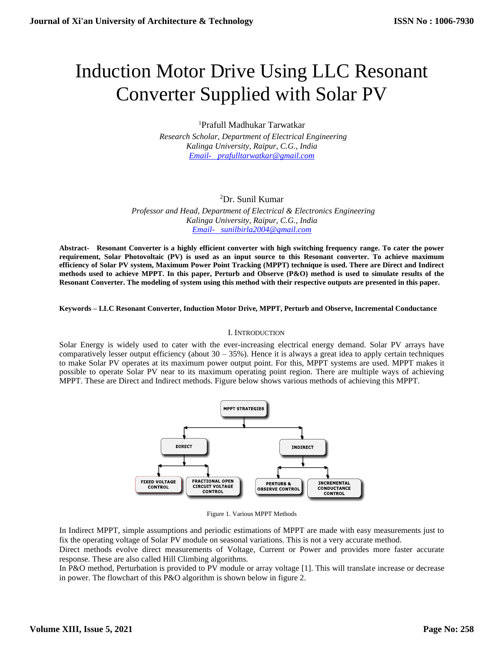# Induction Motor Drive Using LLC Resonant Converter Supplied with Solar PV

<sup>1</sup>Prafull Madhukar Tarwatkar

 *Research Scholar, Department of Electrical Engineering Kalinga University, Raipur, C.G., India [Email- prafulltarwatkar@gmail.com](mailto:Email-%20%20%20prafulltarwatkar@gmail.com)*

## <sup>2</sup>Dr. Sunil Kumar

 *Professor and Head, Department of Electrical & Electronics Engineering Kalinga University, Raipur, C.G., India [Email- sunilbirla2004@gmail.com](mailto:Email-%20%20%20sunilbirla2004@gmail.com)*

**Abstract- Resonant Converter is a highly efficient converter with high switching frequency range. To cater the power requirement, Solar Photovoltaic (PV) is used as an input source to this Resonant converter. To achieve maximum efficiency of Solar PV system, Maximum Power Point Tracking (MPPT) technique is used. There are Direct and Indirect methods used to achieve MPPT. In this paper, Perturb and Observe (P&O) method is used to simulate results of the Resonant Converter. The modeling of system using this method with their respective outputs are presented in this paper.**

### **Keywords – LLC Resonant Converter, Induction Motor Drive, MPPT, Perturb and Observe, Incremental Conductance**

## I. INTRODUCTION

Solar Energy is widely used to cater with the ever-increasing electrical energy demand. Solar PV arrays have comparatively lesser output efficiency (about  $30 - 35\%$ ). Hence it is always a great idea to apply certain techniques to make Solar PV operates at its maximum power output point. For this, MPPT systems are used. MPPT makes it possible to operate Solar PV near to its maximum operating point region. There are multiple ways of achieving MPPT. These are Direct and Indirect methods. Figure below shows various methods of achieving this MPPT.



Figure 1. Various MPPT Methods

In Indirect MPPT, simple assumptions and periodic estimations of MPPT are made with easy measurements just to fix the operating voltage of Solar PV module on seasonal variations. This is not a very accurate method.

Direct methods evolve direct measurements of Voltage, Current or Power and provides more faster accurate response. These are also called Hill Climbing algorithms.

In P&O method, Perturbation is provided to PV module or array voltage [1]. This will translate increase or decrease in power. The flowchart of this P&O algorithm is shown below in figure 2.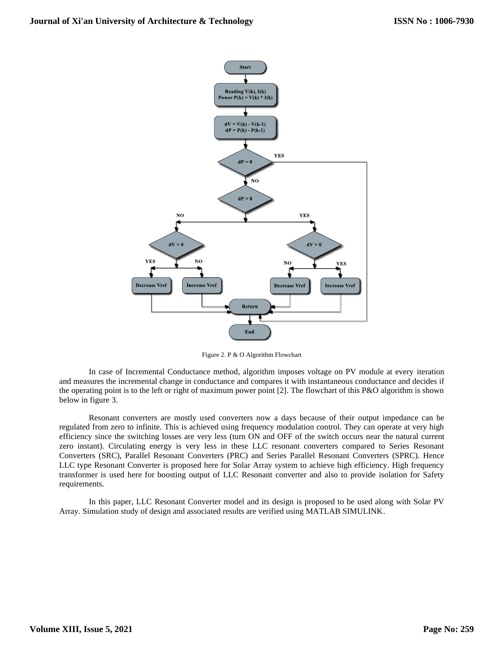

Figure 2. P & O Algorithm Flowchart

In case of Incremental Conductance method, algorithm imposes voltage on PV module at every iteration and measures the incremental change in conductance and compares it with instantaneous conductance and decides if the operating point is to the left or right of maximum power point [2]. The flowchart of this P&O algorithm is shown below in figure 3.

Resonant converters are mostly used converters now a days because of their output impedance can be regulated from zero to infinite. This is achieved using frequency modulation control. They can operate at very high efficiency since the switching losses are very less (turn ON and OFF of the switch occurs near the natural current zero instant). Circulating energy is very less in these LLC resonant converters compared to Series Resonant Converters (SRC), Parallel Resonant Converters (PRC) and Series Parallel Resonant Converters (SPRC). Hence LLC type Resonant Converter is proposed here for Solar Array system to achieve high efficiency. High frequency transformer is used here for boosting output of LLC Resonant converter and also to provide isolation for Safety requirements.

In this paper, LLC Resonant Converter model and its design is proposed to be used along with Solar PV Array. Simulation study of design and associated results are verified using MATLAB SIMULINK.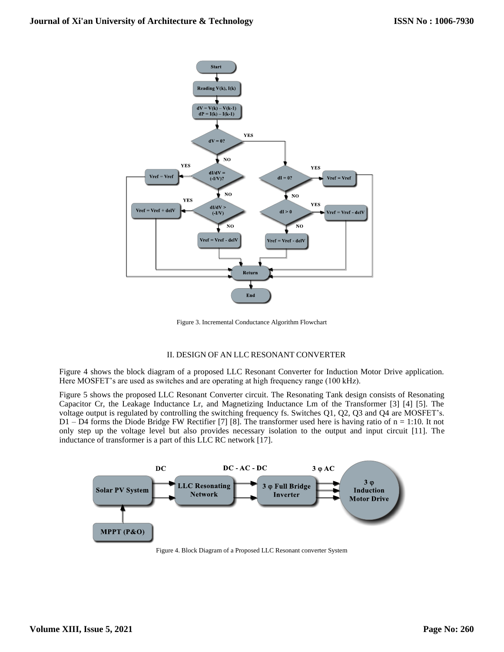

Figure 3. Incremental Conductance Algorithm Flowchart

## II. DESIGN OF AN LLC RESONANT CONVERTER

Figure 4 shows the block diagram of a proposed LLC Resonant Converter for Induction Motor Drive application. Here MOSFET's are used as switches and are operating at high frequency range (100 kHz).

Figure 5 shows the proposed LLC Resonant Converter circuit. The Resonating Tank design consists of Resonating Capacitor Cr, the Leakage Inductance Lr, and Magnetizing Inductance Lm of the Transformer [3] [4] [5]. The voltage output is regulated by controlling the switching frequency fs. Switches Q1, Q2, Q3 and Q4 are MOSFET's. D1 – D4 forms the Diode Bridge FW Rectifier [7] [8]. The transformer used here is having ratio of n = 1:10. It not only step up the voltage level but also provides necessary isolation to the output and input circuit [11]. The inductance of transformer is a part of this LLC RC network [17].



Figure 4. Block Diagram of a Proposed LLC Resonant converter System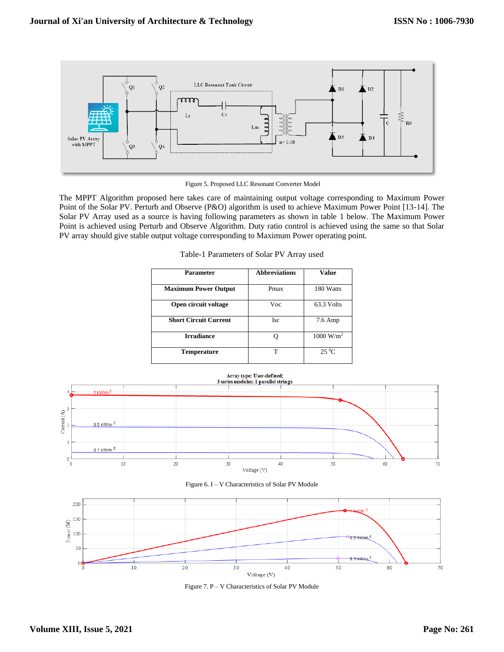

Figure 5. Proposed LLC Resonant Converter Model

The MPPT Algorithm proposed here takes care of maintaining output voltage corresponding to Maximum Power Point of the Solar PV. Perturb and Observe (P&O) algorithm is used to achieve Maximum Power Point [13-14]. The Solar PV Array used as a source is having following parameters as shown in table 1 below. The Maximum Power Point is achieved using Perturb and Observe Algorithm. Duty ratio control is achieved using the same so that Solar PV array should give stable output voltage corresponding to Maximum Power operating point.

| Parameter                    | <b>Abbreviations</b> | Value                |
|------------------------------|----------------------|----------------------|
| <b>Maximum Power Output</b>  | Pmax                 | 180 Watts            |
| Open circuit voltage         | Voc                  | 63.3 Volts           |
| <b>Short Circuit Current</b> | <b>Isc</b>           | 7.6 Amp              |
| <b>Irradiance</b>            |                      | $1000 \text{ W/m}^2$ |
| <b>Temperature</b>           | т                    | $25\,^0C$            |

Table-1 Parameters of Solar PV Array used



Figure 7. P – V Characteristics of Solar PV Module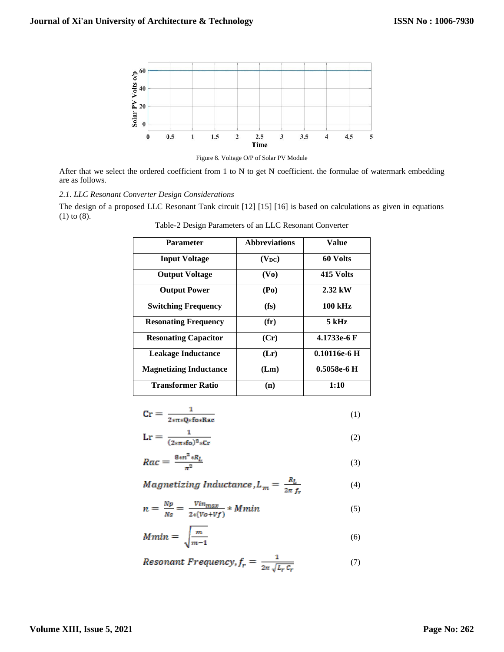

Figure 8. Voltage O/P of Solar PV Module

After that we select the ordered coefficient from 1 to N to get N coefficient. the formulae of watermark embedding are as follows.

*2.1. LLC Resonant Converter Design Considerations –*

The design of a proposed LLC Resonant Tank circuit [12] [15] [16] is based on calculations as given in equations (1) to (8).

| <b>Parameter</b>              | <b>Abbreviations</b> | Value             |
|-------------------------------|----------------------|-------------------|
| <b>Input Voltage</b>          | $(V_{DC})$           | 60 Volts          |
| <b>Output Voltage</b>         | (V <sub>0</sub> )    | 415 Volts         |
| <b>Output Power</b>           | (P <sub>0</sub> )    | $2.32 \text{ kW}$ |
| <b>Switching Frequency</b>    | $(f_s)$              | <b>100 kHz</b>    |
| <b>Resonating Frequency</b>   | $(f\mathbf{r})$      | 5 kHz             |
| <b>Resonating Capacitor</b>   | (Cr)                 | 4.1733e-6 F       |
| Leakage Inductance            | (Lr)                 | $0.10116e-6$ H    |
| <b>Magnetizing Inductance</b> | (Lm)                 | $0.5058e-6$ H     |
| <b>Transformer Ratio</b>      | (n)                  | 1:10              |

Table-2 Design Parameters of an LLC Resonant Converter

| $Cr =$ |              |  |
|--------|--------------|--|
|        | 2*π*Q*fo*Rac |  |
|        |              |  |

$$
Lr = \frac{1}{(2\pi\pi\epsilon_0)^2 \cdot 2\pi r}
$$
 (2)

$$
Rac = \frac{8 \cdot n^2 \cdot R_L}{\pi^2} \tag{3}
$$

$$
Magnetizing Inductance, L_m = \frac{R_L}{2\pi f_r}
$$
 (4)

$$
n = \frac{Np}{Ns} = \frac{Vin_{max}}{2*(Vo+Vf)} * Mmin
$$
\n(5)

$$
Mmin = \sqrt{\frac{m}{m-1}}\tag{6}
$$

$$
Resonant\ Frequency, f_r = \frac{1}{2\pi \sqrt{L_r C_r}}\tag{7}
$$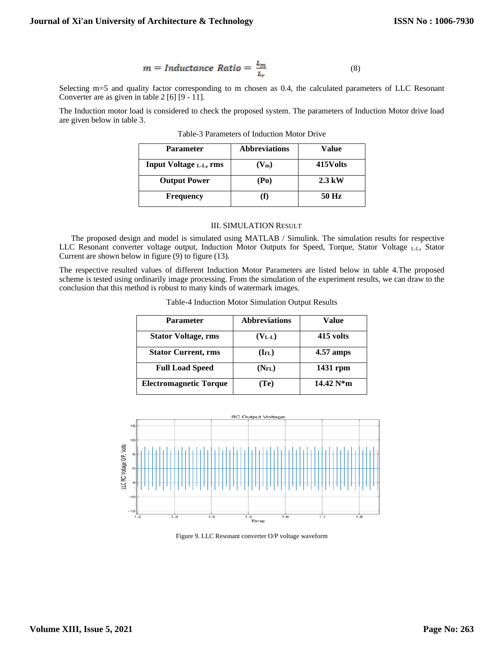$$
m = Inductance Ratio = \frac{L_m}{L_r}
$$
 (8)

Selecting m=5 and quality factor corresponding to m chosen as 0.4, the calculated parameters of LLC Resonant Converter are as given in table 2 [6] [9 - 11].

The Induction motor load is considered to check the proposed system. The parameters of Induction Motor drive load are given below in table 3.

| <b>Parameter</b>        | <b>Abbreviations</b> | Value            |
|-------------------------|----------------------|------------------|
| Input Voltage L.L., rms | $(V_{in})$           | 415Volts         |
| <b>Output Power</b>     | (Po)                 | $2.3 \text{ kW}$ |
| <b>Frequency</b>        |                      | 50 Hz            |

Table-3 Parameters of Induction Motor Drive

### III. SIMULATION RESULT

The proposed design and model is simulated using MATLAB / Simulink. The simulation results for respective LLC Resonant converter voltage output, Induction Motor Outputs for Speed, Torque, Stator Voltage L-L, Stator Current are shown below in figure (9) to figure (13).

The respective resulted values of different Induction Motor Parameters are listed below in table 4.The proposed scheme is tested using ordinarily image processing. From the simulation of the experiment results, we can draw to the conclusion that this method is robust to many kinds of watermark images.

| <b>Parameter</b>              | <b>Abbreviations</b> | Value       |
|-------------------------------|----------------------|-------------|
| <b>Stator Voltage, rms</b>    | $(V_{L-L})$          | 415 volts   |
| <b>Stator Current, rms</b>    | $(I_{FL})$           | 4.57 amps   |
| <b>Full Load Speed</b>        | $(N_{FL})$           | 1431 rpm    |
| <b>Electromagnetic Torque</b> | (T <sub>e</sub> )    | $14.42 N*m$ |

Table-4 Induction Motor Simulation Output Results



Figure 9. LLC Resonant converter O/P voltage waveform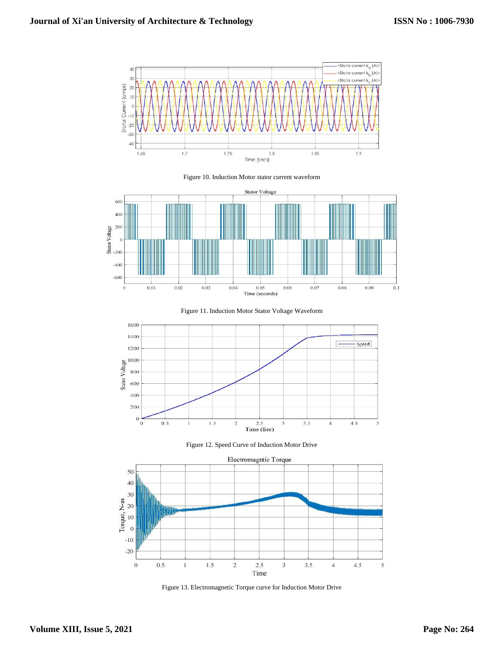

Figure 10. Induction Motor stator current waveform











Figure 13. Electromagnetic Torque curve for Induction Motor Drive